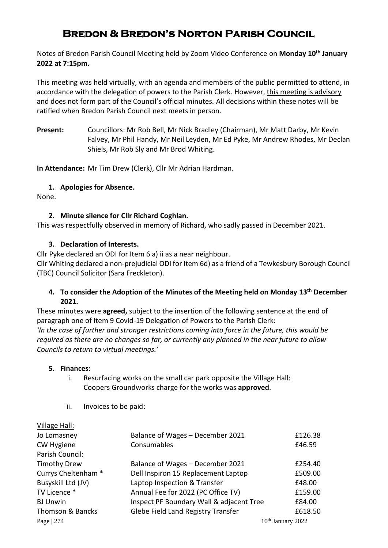# **Bredon & Bredon's Norton Parish Council**

Notes of Bredon Parish Council Meeting held by Zoom Video Conference on **Monday 10th January 2022 at 7:15pm.**

This meeting was held virtually, with an agenda and members of the public permitted to attend, in accordance with the delegation of powers to the Parish Clerk. However, this meeting is advisory and does not form part of the Council's official minutes. All decisions within these notes will be ratified when Bredon Parish Council next meets in person.

**Present:** Councillors: Mr Rob Bell, Mr Nick Bradley (Chairman), Mr Matt Darby, Mr Kevin Falvey, Mr Phil Handy, Mr Neil Leyden, Mr Ed Pyke, Mr Andrew Rhodes, Mr Declan Shiels, Mr Rob Sly and Mr Brod Whiting.

**In Attendance:** Mr Tim Drew (Clerk), Cllr Mr Adrian Hardman.

# **1. Apologies for Absence.**

None.

# **2. Minute silence for Cllr Richard Coghlan.**

This was respectfully observed in memory of Richard, who sadly passed in December 2021.

# **3. Declaration of Interests.**

Cllr Pyke declared an ODI for Item 6 a) ii as a near neighbour.

Cllr Whiting declared a non-prejudicial ODI for Item 6d) as a friend of a Tewkesbury Borough Council (TBC) Council Solicitor (Sara Freckleton).

#### **4. To consider the Adoption of the Minutes of the Meeting held on Monday 13th December 2021.**

These minutes were **agreed,** subject to the insertion of the following sentence at the end of paragraph one of Item 9 Covid-19 Delegation of Powers to the Parish Clerk: *'In the case of further and stronger restrictions coming into force in the future, this would be required as there are no changes so far, or currently any planned in the near future to allow Councils to return to virtual meetings.'*

#### **5. Finances:**

- i. Resurfacing works on the small car park opposite the Village Hall: Coopers Groundworks charge for the works was **approved**.
- ii. Invoices to be paid:

| Village Hall:       |                                          |                     |
|---------------------|------------------------------------------|---------------------|
| Jo Lomasney         | Balance of Wages - December 2021         | £126.38             |
| CW Hygiene          | Consumables                              | £46.59              |
| Parish Council:     |                                          |                     |
| <b>Timothy Drew</b> | Balance of Wages - December 2021         | £254.40             |
| Currys Cheltenham * | Dell Inspiron 15 Replacement Laptop      | £509.00             |
| Busyskill Ltd (JV)  | Laptop Inspection & Transfer             | £48.00              |
| TV Licence *        | Annual Fee for 2022 (PC Office TV)       | £159.00             |
| <b>BJ Unwin</b>     | Inspect PF Boundary Wall & adjacent Tree | £84.00              |
| Thomson & Bancks    | Glebe Field Land Registry Transfer       | £618.50             |
| Page $ 274$         |                                          | $10th$ January 2022 |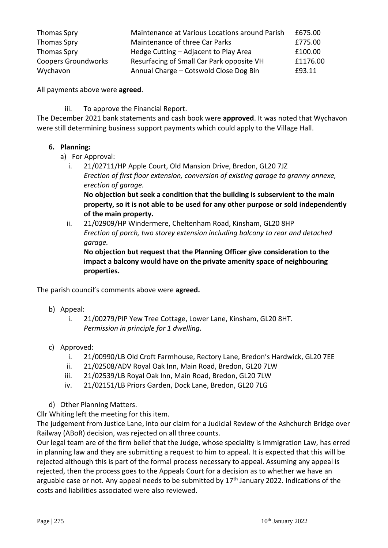| Thomas Spry                | Maintenance at Various Locations around Parish | £675.00  |
|----------------------------|------------------------------------------------|----------|
| <b>Thomas Spry</b>         | Maintenance of three Car Parks                 | £775.00  |
| Thomas Spry                | Hedge Cutting - Adjacent to Play Area          | £100.00  |
| <b>Coopers Groundworks</b> | Resurfacing of Small Car Park opposite VH      | £1176.00 |
| Wychavon                   | Annual Charge - Cotswold Close Dog Bin         | £93.11   |

All payments above were **agreed**.

iii. To approve the Financial Report.

The December 2021 bank statements and cash book were **approved**. It was noted that Wychavon were still determining business support payments which could apply to the Village Hall.

# **6. Planning:**

- a) For Approval:
	- i. 21/02711/HP Apple Court, Old Mansion Drive, Bredon, GL20 7JZ *Erection of first floor extension, conversion of existing garage to granny annexe, erection of garage.*

**No objection but seek a condition that the building is subservient to the main property, so it is not able to be used for any other purpose or sold independently of the main property.**

ii. 21/02909/HP Windermere, Cheltenham Road, Kinsham, GL20 8HP *Erection of porch, two storey extension including balcony to rear and detached garage.*

**No objection but request that the Planning Officer give consideration to the impact a balcony would have on the private amenity space of neighbouring properties.**

The parish council's comments above were **agreed.**

- b) Appeal:
	- i. 21/00279/PIP Yew Tree Cottage, Lower Lane, Kinsham, GL20 8HT. *Permission in principle for 1 dwelling.*
- c) Approved:
	- i. 21/00990/LB Old Croft Farmhouse, Rectory Lane, Bredon's Hardwick, GL20 7EE
	- ii. 21/02508/ADV Royal Oak Inn, Main Road, Bredon, GL20 7LW
	- iii. 21/02539/LB Royal Oak Inn, Main Road, Bredon, GL20 7LW
	- iv. 21/02151/LB Priors Garden, Dock Lane, Bredon, GL20 7LG
- d) Other Planning Matters.

Cllr Whiting left the meeting for this item.

The judgement from Justice Lane, into our claim for a Judicial Review of the Ashchurch Bridge over Railway (ABoR) decision, was rejected on all three counts.

Our legal team are of the firm belief that the Judge, whose speciality is Immigration Law, has erred in planning law and they are submitting a request to him to appeal. It is expected that this will be rejected although this is part of the formal process necessary to appeal. Assuming any appeal is rejected, then the process goes to the Appeals Court for a decision as to whether we have an arguable case or not. Any appeal needs to be submitted by  $17<sup>th</sup>$  January 2022. Indications of the costs and liabilities associated were also reviewed.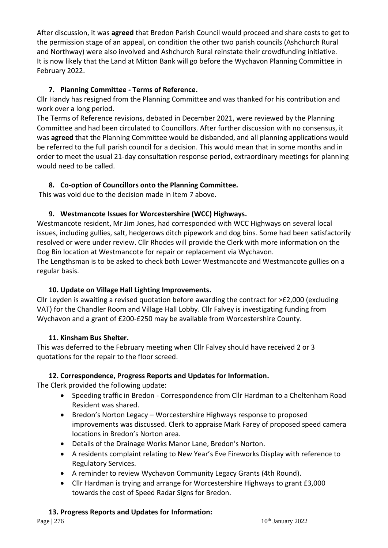After discussion, it was **agreed** that Bredon Parish Council would proceed and share costs to get to the permission stage of an appeal, on condition the other two parish councils (Ashchurch Rural and Northway) were also involved and Ashchurch Rural reinstate their crowdfunding initiative. It is now likely that the Land at Mitton Bank will go before the Wychavon Planning Committee in February 2022.

# **7. Planning Committee - Terms of Reference.**

Cllr Handy has resigned from the Planning Committee and was thanked for his contribution and work over a long period.

The Terms of Reference revisions, debated in December 2021, were reviewed by the Planning Committee and had been circulated to Councillors. After further discussion with no consensus, it was **agreed** that the Planning Committee would be disbanded, and all planning applications would be referred to the full parish council for a decision. This would mean that in some months and in order to meet the usual 21-day consultation response period, extraordinary meetings for planning would need to be called.

# **8. Co-option of Councillors onto the Planning Committee.**

This was void due to the decision made in Item 7 above.

# **9. Westmancote Issues for Worcestershire (WCC) Highways.**

Westmancote resident, Mr Jim Jones, had corresponded with WCC Highways on several local issues, including gullies, salt, hedgerows ditch pipework and dog bins. Some had been satisfactorily resolved or were under review. Cllr Rhodes will provide the Clerk with more information on the Dog Bin location at Westmancote for repair or replacement via Wychavon.

The Lengthsman is to be asked to check both Lower Westmancote and Westmancote gullies on a regular basis.

# **10. Update on Village Hall Lighting Improvements.**

Cllr Leyden is awaiting a revised quotation before awarding the contract for >£2,000 (excluding VAT) for the Chandler Room and Village Hall Lobby. Cllr Falvey is investigating funding from Wychavon and a grant of £200-£250 may be available from Worcestershire County.

# **11. Kinsham Bus Shelter.**

This was deferred to the February meeting when Cllr Falvey should have received 2 or 3 quotations for the repair to the floor screed.

# **12. Correspondence, Progress Reports and Updates for Information.**

The Clerk provided the following update:

- Speeding traffic in Bredon Correspondence from Cllr Hardman to a Cheltenham Road Resident was shared.
- Bredon's Norton Legacy Worcestershire Highways response to proposed improvements was discussed. Clerk to appraise Mark Farey of proposed speed camera locations in Bredon's Norton area.
- Details of the Drainage Works Manor Lane, Bredon's Norton.
- A residents complaint relating to New Year's Eve Fireworks Display with reference to Regulatory Services.
- A reminder to review Wychavon Community Legacy Grants (4th Round).
- Cllr Hardman is trying and arrange for Worcestershire Highways to grant £3,000 towards the cost of Speed Radar Signs for Bredon.

# **13. Progress Reports and Updates for Information:**